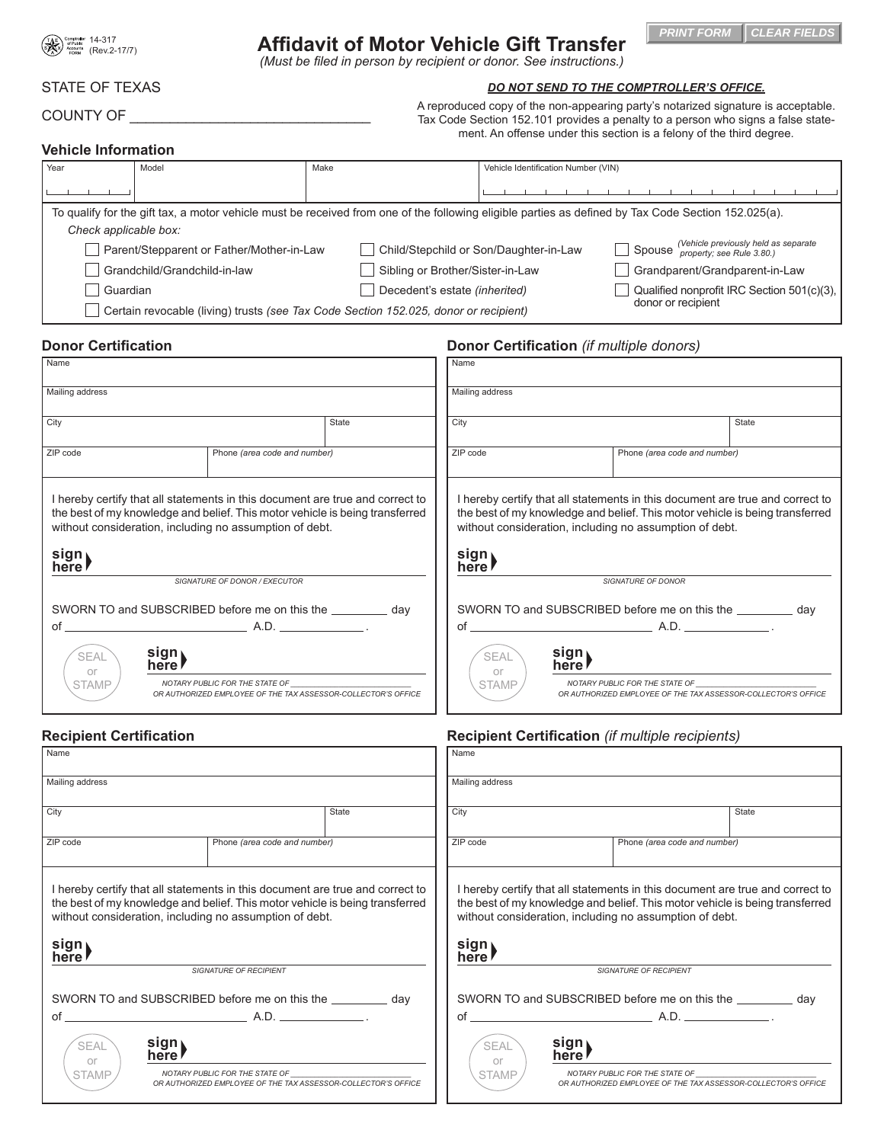

# **Affidavit of Motor Vehicle Gift Transfer**

*(Must be filed in person by recipient or donor. See instructions.)*

## STATE OF TEXAS

COUNTY OF \_\_\_\_\_\_

|  | DO NOT SEND TO THE COMPTROLLER'S OFFICE. |  |
|--|------------------------------------------|--|
|  |                                          |  |

**PRINT FORM CLEAR FIELDS**

A reproduced copy of the non-appearing party's notarized signature is acceptable. Tax Code Section 152.101 provides a penalty to a person who signs a false statement. An offense under this section is a felony of the third degree.

## **Vehicle Information**

| l Year                                                                                                                                              | Model                        | Make                                   | Vehicle Identification Number (VIN)                                          |                                            |  |
|-----------------------------------------------------------------------------------------------------------------------------------------------------|------------------------------|----------------------------------------|------------------------------------------------------------------------------|--------------------------------------------|--|
|                                                                                                                                                     |                              |                                        |                                                                              |                                            |  |
| To qualify for the gift tax, a motor vehicle must be received from one of the following eligible parties as defined by Tax Code Section 152.025(a). |                              |                                        |                                                                              |                                            |  |
| Check applicable box:                                                                                                                               |                              |                                        |                                                                              |                                            |  |
| Parent/Stepparent or Father/Mother-in-Law                                                                                                           |                              | Child/Stepchild or Son/Daughter-in-Law | $\Box$ Spouse (Vehicle previously held as separate property; see Rule 3.80.) |                                            |  |
|                                                                                                                                                     | Grandchild/Grandchild-in-law | Sibling or Brother/Sister-in-Law       |                                                                              | Grandparent/Grandparent-in-Law             |  |
| Guardian                                                                                                                                            |                              | Decedent's estate (inherited)          |                                                                              | Qualified nonprofit IRC Section 501(c)(3), |  |
| donor or recipient<br>Certain revocable (living) trusts (see Tax Code Section 152.025, donor or recipient)                                          |                              |                                        |                                                                              |                                            |  |

## **Donor Certification Donor Certification** *(if multiple donors)*

| Name                                                                                                                                                                                                                                       |       | Name                                                          |               |                                                                                                                                                                                                                          |       |
|--------------------------------------------------------------------------------------------------------------------------------------------------------------------------------------------------------------------------------------------|-------|---------------------------------------------------------------|---------------|--------------------------------------------------------------------------------------------------------------------------------------------------------------------------------------------------------------------------|-------|
| Mailing address                                                                                                                                                                                                                            |       | Mailing address                                               |               |                                                                                                                                                                                                                          |       |
| City                                                                                                                                                                                                                                       | State | City                                                          |               |                                                                                                                                                                                                                          | State |
| ZIP code<br>Phone (area code and number)                                                                                                                                                                                                   |       | ZIP code                                                      |               | Phone (area code and number)                                                                                                                                                                                             |       |
| I hereby certify that all statements in this document are true and correct to<br>the best of my knowledge and belief. This motor vehicle is being transferred<br>without consideration, including no assumption of debt.<br>sign<br>here l |       | sign,<br>here l                                               |               | I hereby certify that all statements in this document are true and correct to<br>the best of my knowledge and belief. This motor vehicle is being transferred<br>without consideration, including no assumption of debt. |       |
| SIGNATURE OF DONOR / EXECUTOR                                                                                                                                                                                                              |       | <b>SIGNATURE OF DONOR</b>                                     |               |                                                                                                                                                                                                                          |       |
| SWORN TO and SUBSCRIBED before me on this the __________ day                                                                                                                                                                               |       | SWORN TO and SUBSCRIBED before me on this the ___________ day |               |                                                                                                                                                                                                                          |       |
| sign)<br><b>SEAL</b><br>or<br>NOTARY PUBLIC FOR THE STATE OF<br><b>STAMP</b><br>OR AUTHORIZED EMPLOYEE OF THE TAX ASSESSOR-COLLECTOR'S OFFICE                                                                                              |       | <b>SEAL</b><br>or<br><b>STAMP</b>                             | sign)<br>here | NOTARY PUBLIC FOR THE STATE OF __<br>OR AUTHORIZED EMPLOYEE OF THE TAX ASSESSOR-COLLECTOR'S OFFICE                                                                                                                       |       |

## **Recipient Certification Recipient Certification** *(if multiple recipients)*

| Name                                                                                                                                                                                                                                      |                                                                                                 |                               | Name                                                                                                                                                                                                                                              |                                                               |                                                                                                 |  |
|-------------------------------------------------------------------------------------------------------------------------------------------------------------------------------------------------------------------------------------------|-------------------------------------------------------------------------------------------------|-------------------------------|---------------------------------------------------------------------------------------------------------------------------------------------------------------------------------------------------------------------------------------------------|---------------------------------------------------------------|-------------------------------------------------------------------------------------------------|--|
| Mailing address                                                                                                                                                                                                                           |                                                                                                 |                               | Mailing address                                                                                                                                                                                                                                   |                                                               |                                                                                                 |  |
| City                                                                                                                                                                                                                                      |                                                                                                 | State                         | City<br>State                                                                                                                                                                                                                                     |                                                               |                                                                                                 |  |
| ZIP code                                                                                                                                                                                                                                  | Phone (area code and number)                                                                    |                               | ZIP code<br>Phone (area code and number)                                                                                                                                                                                                          |                                                               |                                                                                                 |  |
| I hereby certify that all statements in this document are true and correct to<br>the best of my knowledge and belief. This motor vehicle is being transferred<br>without consideration, including no assumption of debt.<br>sign)<br>here |                                                                                                 |                               | I hereby certify that all statements in this document are true and correct to<br>the best of my knowledge and belief. This motor vehicle is being transferred<br>without consideration, including no assumption of debt.<br>sign<br>here <b>r</b> |                                                               |                                                                                                 |  |
| <b>SIGNATURE OF RECIPIENT</b>                                                                                                                                                                                                             |                                                                                                 | <b>SIGNATURE OF RECIPIENT</b> |                                                                                                                                                                                                                                                   |                                                               |                                                                                                 |  |
| SWORN TO and SUBSCRIBED before me on this the ___________ day                                                                                                                                                                             |                                                                                                 |                               |                                                                                                                                                                                                                                                   | SWORN TO and SUBSCRIBED before me on this the ___________ day |                                                                                                 |  |
| sign)<br>SEAL<br>or<br><b>STAMP</b>                                                                                                                                                                                                       | NOTARY PUBLIC FOR THE STATE OF<br>OR AUTHORIZED EMPLOYEE OF THE TAX ASSESSOR-COLLECTOR'S OFFICE |                               | <b>SEAL</b><br>or<br><b>STAMP</b>                                                                                                                                                                                                                 | sign)<br>here                                                 | NOTARY PUBLIC FOR THE STATE OF<br>OR AUTHORIZED EMPLOYEE OF THE TAX ASSESSOR-COLLECTOR'S OFFICE |  |